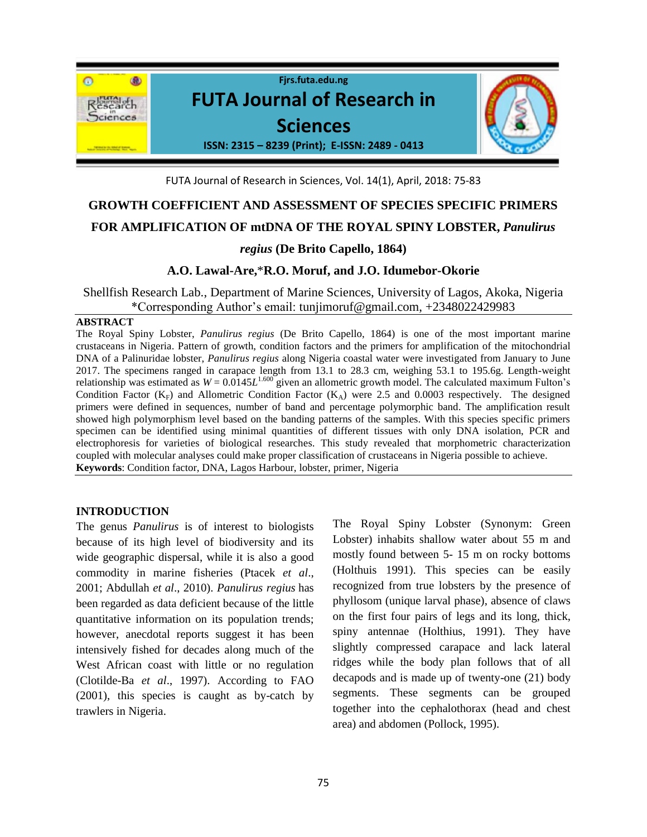

FUTA Journal of Research in Sciences, Vol. 14(1), April, 2018: 75-83

# **GROWTH COEFFICIENT AND ASSESSMENT OF SPECIES SPECIFIC PRIMERS**

### **FOR AMPLIFICATION OF mtDNA OF THE ROYAL SPINY LOBSTER,** *Panulirus*

## *regius* **(De Brito Capello, 1864)**

## **A.O. Lawal-Are,**\***R.O. Moruf, and J.O. Idumebor-Okorie**

Shellfish Research Lab., Department of Marine Sciences, University of Lagos, Akoka, Nigeria \*Corresponding Author's email: [tunjimoruf@gmail.com,](mailto:tunjimoruf@gmail.com) +2348022429983

#### **ABSTRACT**

The Royal Spiny Lobster, *Panulirus regius* (De Brito Capello, 1864) is one of the most important marine crustaceans in Nigeria. Pattern of growth, condition factors and the primers for amplification of the mitochondrial DNA of a Palinuridae lobster, *Panulirus regius* along Nigeria coastal water were investigated from January to June 2017. The specimens ranged in carapace length from 13.1 to 28.3 cm, weighing 53.1 to 195.6g. Length-weight relationship was estimated as  $W = 0.0145L^{1.600}$  given an allometric growth model. The calculated maximum Fulton's Condition Factor ( $K_F$ ) and Allometric Condition Factor ( $K_A$ ) were 2.5 and 0.0003 respectively. The designed primers were defined in sequences, number of band and percentage polymorphic band. The amplification result showed high polymorphism level based on the banding patterns of the samples. With this species specific primers specimen can be identified using minimal quantities of different tissues with only DNA isolation, PCR and electrophoresis for varieties of biological researches. This study revealed that morphometric characterization coupled with molecular analyses could make proper classification of crustaceans in Nigeria possible to achieve. **Keywords**: Condition factor, DNA, Lagos Harbour, lobster, primer, Nigeria

### **INTRODUCTION**

The genus *Panulirus* is of interest to biologists because of its high level of biodiversity and its wide geographic dispersal, while it is also a good commodity in marine fisheries (Ptacek *et al*., 2001; Abdullah *et al*., 2010). *Panulirus regius* has been regarded as data deficient because of the little quantitative information on its population trends; however, anecdotal reports suggest it has been intensively fished for decades along much of the West African coast with little or no regulation (Clotilde-Ba *et al*., 1997). According to FAO (2001), this species is caught as by-catch by trawlers in Nigeria.

The Royal Spiny Lobster (Synonym: Green Lobster) inhabits shallow water about 55 m and mostly found between 5- 15 m on rocky bottoms (Holthuis 1991). This species can be easily recognized from true lobsters by the presence of phyllosom (unique larval phase), absence of claws on the first four pairs of legs and its long, thick, spiny antennae (Holthius, 1991). They have slightly compressed carapace and lack lateral ridges while the body plan follows that of all decapods and is made up of twenty-one (21) body segments. These segments can be grouped together into the cephalothorax (head and chest area) and abdomen (Pollock, 1995).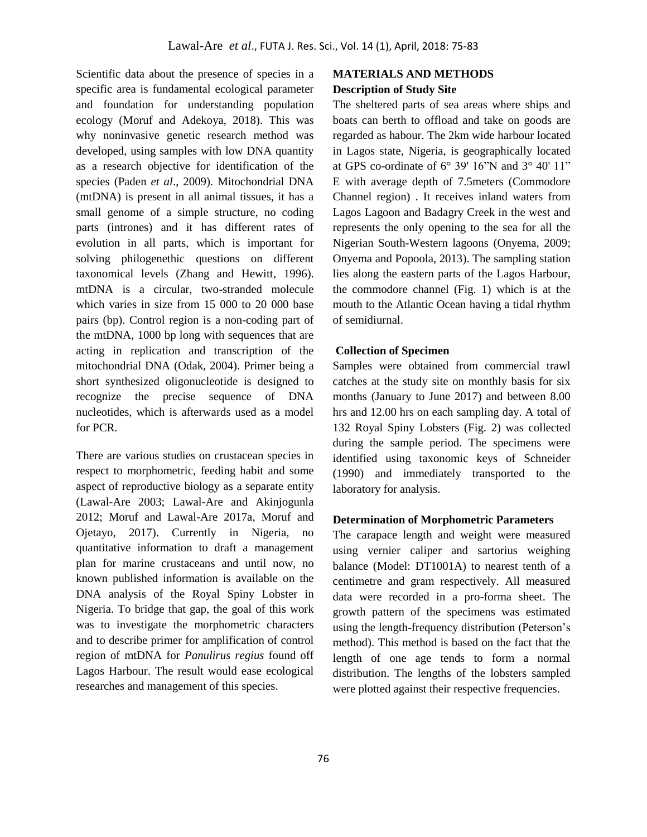Scientific data about the presence of species in a specific area is fundamental ecological parameter and foundation for understanding population ecology (Moruf and Adekoya, 2018). This was why noninvasive genetic research method was developed, using samples with low DNA quantity as a research objective for identification of the species (Paden *et al*., 2009). Mitochondrial DNA (mtDNA) is present in all animal tissues, it has a small genome of a simple structure, no coding parts (intrones) and it has different rates of evolution in all parts, which is important for solving philogenethic questions on different taxonomical levels (Zhang and Hewitt, 1996). mtDNA is a circular, two-stranded molecule which varies in size from 15 000 to 20 000 base pairs (bp). Control region is a non-coding part of the mtDNA, 1000 bp long with sequences that are acting in replication and transcription of the mitochondrial DNA (Odak, 2004). Primer being a short synthesized oligonucleotide is designed to recognize the precise sequence of DNA nucleotides, which is afterwards used as a model for PCR.

There are various studies on crustacean species in respect to morphometric, feeding habit and some aspect of reproductive biology as a separate entity (Lawal-Are 2003; Lawal-Are and Akinjogunla 2012; Moruf and Lawal-Are 2017a, Moruf and Ojetayo, 2017). Currently in Nigeria, no quantitative information to draft a management plan for marine crustaceans and until now, no known published information is available on the DNA analysis of the Royal Spiny Lobster in Nigeria. To bridge that gap, the goal of this work was to investigate the morphometric characters and to describe primer for amplification of control region of mtDNA for *Panulirus regius* found off Lagos Harbour. The result would ease ecological researches and management of this species.

# **MATERIALS AND METHODS Description of Study Site**

The sheltered parts of sea areas where ships and boats can berth to offload and take on goods are regarded as habour. The 2km wide harbour located in Lagos state, Nigeria, is geographically located at GPS co-ordinate of 6° 39' 16"N and 3° 40' 11" E with average depth of 7.5meters (Commodore Channel region) . It receives inland waters from Lagos Lagoon and Badagry Creek in the west and represents the only opening to the sea for all the Nigerian South-Western lagoons (Onyema, 2009; Onyema and Popoola, 2013). The sampling station lies along the eastern parts of the Lagos Harbour, the commodore channel (Fig. 1) which is at the mouth to the Atlantic Ocean having a tidal rhythm of semidiurnal.

#### **Collection of Specimen**

Samples were obtained from commercial trawl catches at the study site on monthly basis for six months (January to June 2017) and between 8.00 hrs and 12.00 hrs on each sampling day. A total of 132 Royal Spiny Lobsters (Fig. 2) was collected during the sample period. The specimens were identified using taxonomic keys of Schneider (1990) and immediately transported to the laboratory for analysis.

### **Determination of Morphometric Parameters**

The carapace length and weight were measured using vernier caliper and sartorius weighing balance (Model: DT1001A) to nearest tenth of a centimetre and gram respectively. All measured data were recorded in a pro-forma sheet. The growth pattern of the specimens was estimated using the length-frequency distribution (Peterson's method). This method is based on the fact that the length of one age tends to form a normal distribution. The lengths of the lobsters sampled were plotted against their respective frequencies.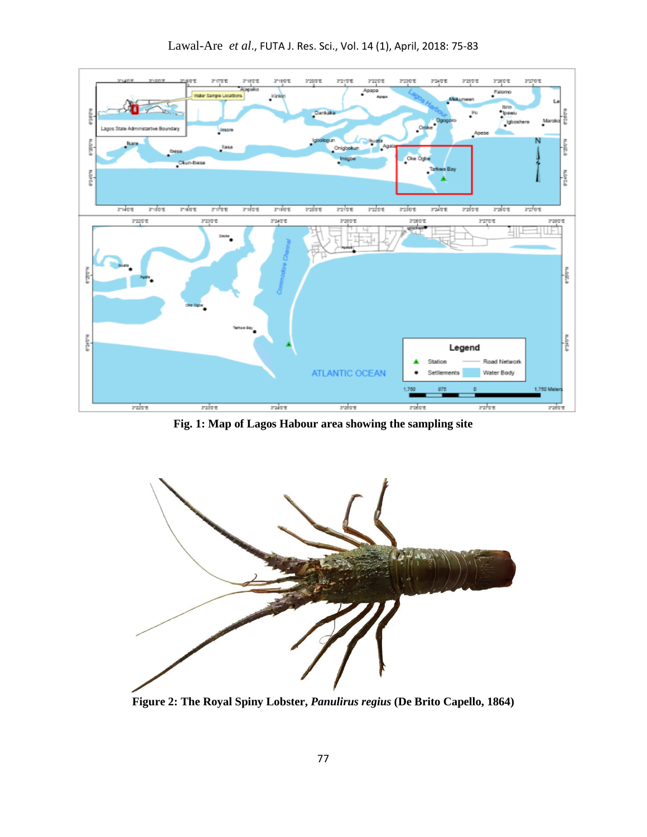

Lawal-Are *et al*., FUTA J. Res. Sci., Vol. 14 (1), April, 2018: 75-83

**Fig. 1: Map of Lagos Habour area showing the sampling site** 



**Figure 2: The Royal Spiny Lobster,** *Panulirus regius* **(De Brito Capello, 1864)**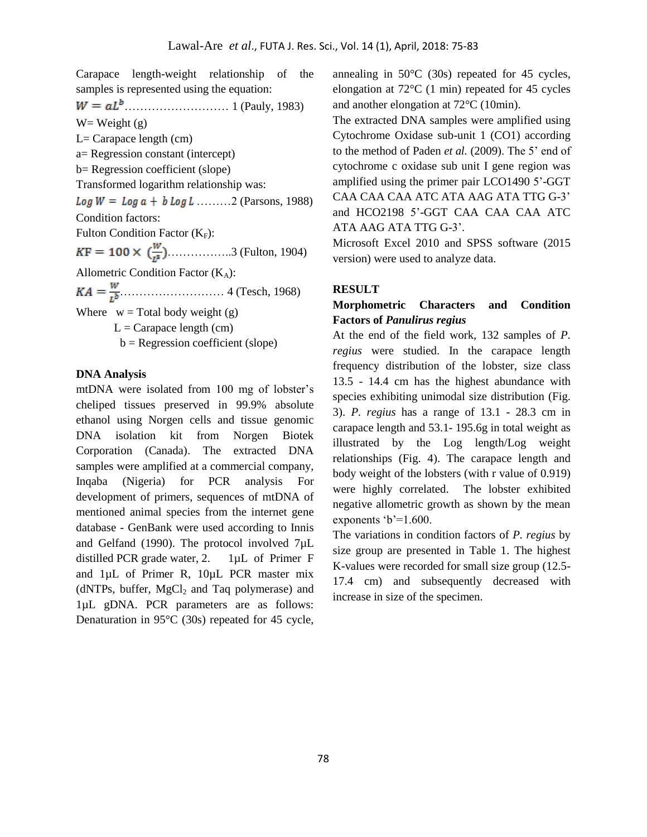Carapace length-weight relationship of the samples is represented using the equation:  $W = aL<sup>b</sup>$  (Pauly, 1983)  $W=$  Weight  $(g)$  $L=$  Carapace length (cm) a= Regression constant (intercept) b= Regression coefficient (slope) Transformed logarithm relationship was:  $Log W = Log a + b Log L$  ........2 (Parsons, 1988) Condition factors: Fulton Condition Factor  $(K_F)$ :  $KF = 100 \times (\frac{W}{l^3})$ ................3 (Fulton, 1904) Allometric Condition Factor  $(K_A)$ : ……………………… 4 (Tesch, 1968) Where  $w = Total body weight(g)$  $L =$ Carapace length (cm)  $b = Regression coefficient (slope)$ 

#### **DNA Analysis**

mtDNA were isolated from 100 mg of lobster's cheliped tissues preserved in 99.9% absolute ethanol using Norgen cells and tissue genomic DNA isolation kit from Norgen Biotek Corporation (Canada). The extracted DNA samples were amplified at a commercial company, Inqaba (Nigeria) for PCR analysis For development of primers, sequences of mtDNA of mentioned animal species from the internet gene database - GenBank were used according to Innis and Gelfand (1990). The protocol involved 7µL distilled PCR grade water, 2. 1µL of Primer F and 1µL of Primer R, 10µL PCR master mix (dNTPs, buffer,  $MgCl<sub>2</sub>$  and Taq polymerase) and 1µL gDNA. PCR parameters are as follows: Denaturation in 95°C (30s) repeated for 45 cycle,

annealing in 50°C (30s) repeated for 45 cycles, elongation at 72°C (1 min) repeated for 45 cycles and another elongation at 72°C (10min).

The extracted DNA samples were amplified using Cytochrome Oxidase sub-unit 1 (CO1) according to the method of Paden *et al.* (2009). The 5' end of cytochrome c oxidase sub unit I gene region was amplified using the primer pair LCO1490 5'-GGT CAA CAA CAA ATC ATA AAG ATA TTG G-3' and HCO2198 5'-GGT CAA CAA CAA ATC ATA AAG ATA TTG G-3'.

Microsoft Excel 2010 and SPSS software (2015 version) were used to analyze data.

#### **RESULT**

## **Morphometric Characters and Condition Factors of** *Panulirus regius*

At the end of the field work, 132 samples of *P. regius* were studied. In the carapace length frequency distribution of the lobster, size class 13.5 - 14.4 cm has the highest abundance with species exhibiting unimodal size distribution (Fig. 3). *P. regius* has a range of 13.1 - 28.3 cm in carapace length and 53.1- 195.6g in total weight as illustrated by the Log length/Log weight relationships (Fig. 4). The carapace length and body weight of the lobsters (with r value of 0.919) were highly correlated. The lobster exhibited negative allometric growth as shown by the mean exponents  $b'=1.600$ .

The variations in condition factors of *P. regius* by size group are presented in Table 1. The highest K-values were recorded for small size group (12.5- 17.4 cm) and subsequently decreased with increase in size of the specimen.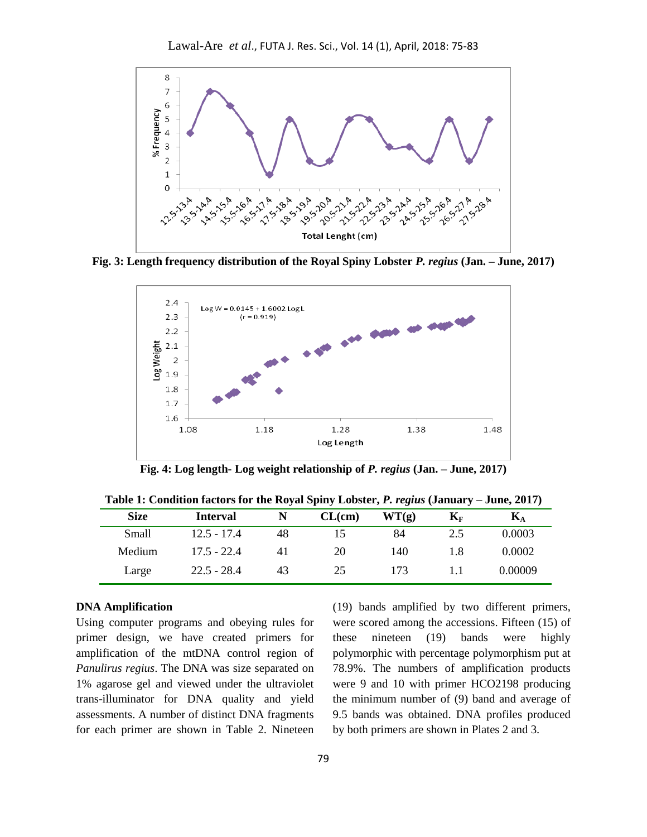

**Fig. 3: Length frequency distribution of the Royal Spiny Lobster** *P. regius* **(Jan. – June, 2017)**



**Fig. 4: Log length- Log weight relationship of** *P. regius* **(Jan. – June, 2017)**

| <b>Size</b> | Interval      |    | CL(cm) | WT(g) | $\mathbf{K}_{\text{F}}$ | Kд      |
|-------------|---------------|----|--------|-------|-------------------------|---------|
| Small       | $12.5 - 17.4$ | 48 | 15     | 84    | 2.5                     | 0.0003  |
| Medium      | $17.5 - 22.4$ | 41 | 20     | 140   | 1.8                     | 0.0002  |
| Large       | $22.5 - 28.4$ | 43 | 25     | 173   |                         | 0.00009 |

**Table 1: Condition factors for the Royal Spiny Lobster,** *P. regius* **(January – June, 2017)**

# **DNA Amplification**

Using computer programs and obeying rules for primer design, we have created primers for amplification of the mtDNA control region of *Panulirus regius*. The DNA was size separated on 1% agarose gel and viewed under the ultraviolet trans-illuminator for DNA quality and yield assessments. A number of distinct DNA fragments for each primer are shown in Table 2. Nineteen

(19) bands amplified by two different primers, were scored among the accessions. Fifteen (15) of these nineteen (19) bands were highly polymorphic with percentage polymorphism put at 78.9%. The numbers of amplification products were 9 and 10 with primer HCO2198 producing the minimum number of (9) band and average of 9.5 bands was obtained. DNA profiles produced by both primers are shown in Plates 2 and 3.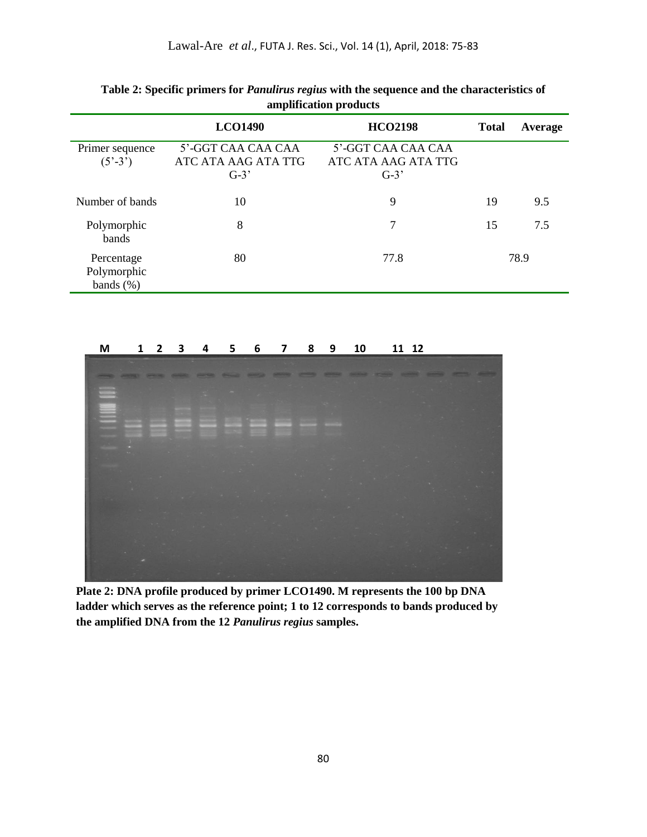|                                                  | <b>LCO1490</b>                                      | <b>HCO2198</b>                                      | <b>Total</b> | Average |
|--------------------------------------------------|-----------------------------------------------------|-----------------------------------------------------|--------------|---------|
| Primer sequence<br>$(5^{\degree} - 3^{\degree})$ | 5'-GGT CAA CAA CAA<br>ATC ATA AAG ATA TTG<br>$G-3'$ | 5'-GGT CAA CAA CAA<br>ATC ATA AAG ATA TTG<br>$G-3'$ |              |         |
| Number of bands                                  | 10                                                  | 9                                                   | 19           | 9.5     |
| Polymorphic<br>bands                             | 8                                                   | 7                                                   | 15           | 7.5     |
| Percentage<br>Polymorphic<br>bands $(\%)$        | 80                                                  | 77.8                                                |              | 78.9    |

| Table 2: Specific primers for <i>Panulirus regius</i> with the sequence and the characteristics of |
|----------------------------------------------------------------------------------------------------|
| amplification products                                                                             |

**M 1 2 3 4 5 6 7 8 9 10 11 12**



**Plate 2: DNA profile produced by primer LCO1490. M represents the 100 bp DNA ladder which serves as the reference point; 1 to 12 corresponds to bands produced by the amplified DNA from the 12** *Panulirus regius* **samples.**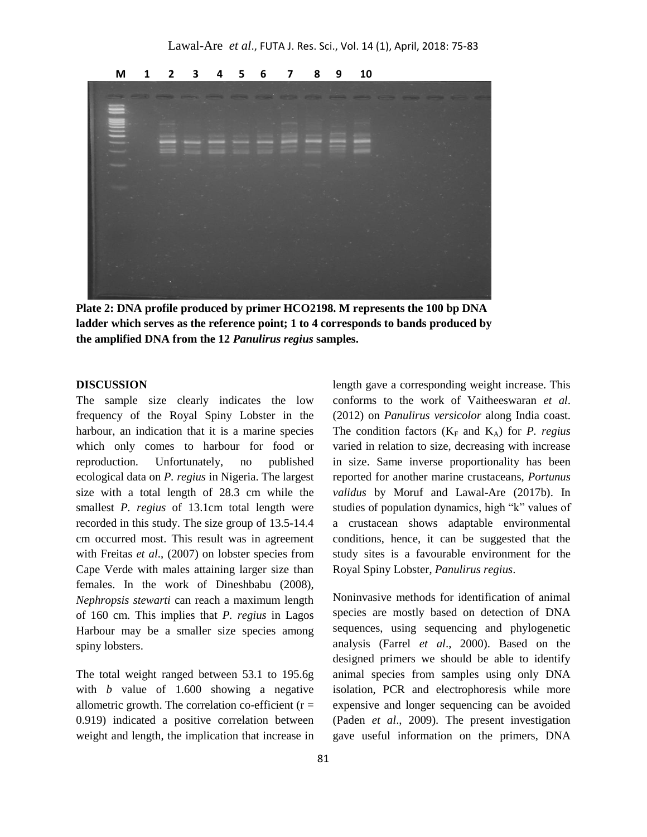

**Plate 2: DNA profile produced by primer HCO2198. M represents the 100 bp DNA ladder which serves as the reference point; 1 to 4 corresponds to bands produced by the amplified DNA from the 12** *Panulirus regius* **samples.**

#### **DISCUSSION**

The sample size clearly indicates the low frequency of the Royal Spiny Lobster in the harbour, an indication that it is a marine species which only comes to harbour for food or reproduction. Unfortunately, no published ecological data on *P. regius* in Nigeria. The largest size with a total length of 28.3 cm while the smallest *P. regius* of 13.1cm total length were recorded in this study. The size group of 13.5-14.4 cm occurred most. This result was in agreement with Freitas *et al*., (2007) on lobster species from Cape Verde with males attaining larger size than females. In the work of Dineshbabu (2008), *Nephropsis stewarti* can reach a maximum length of 160 cm. This implies that *P. regius* in Lagos Harbour may be a smaller size species among spiny lobsters.

The total weight ranged between 53.1 to 195.6g with *b* value of 1.600 showing a negative allometric growth. The correlation co-efficient ( $r =$ 0.919) indicated a positive correlation between weight and length, the implication that increase in

length gave a corresponding weight increase. This conforms to the work of Vaitheeswaran *et al*. (2012) on *Panulirus versicolor* along India coast. The condition factors  $(K_F \text{ and } K_A)$  for *P. regius* varied in relation to size, decreasing with increase in size. Same inverse proportionality has been reported for another marine crustaceans, *Portunus validus* by Moruf and Lawal-Are (2017b). In studies of population dynamics, high "k" values of a crustacean shows adaptable environmental conditions, hence, it can be suggested that the study sites is a favourable environment for the Royal Spiny Lobster, *Panulirus regius*.

Noninvasive methods for identification of animal species are mostly based on detection of DNA sequences, using sequencing and phylogenetic analysis (Farrel *et al*., 2000). Based on the designed primers we should be able to identify animal species from samples using only DNA isolation, PCR and electrophoresis while more expensive and longer sequencing can be avoided (Paden *et al*., 2009). The present investigation gave useful information on the primers, DNA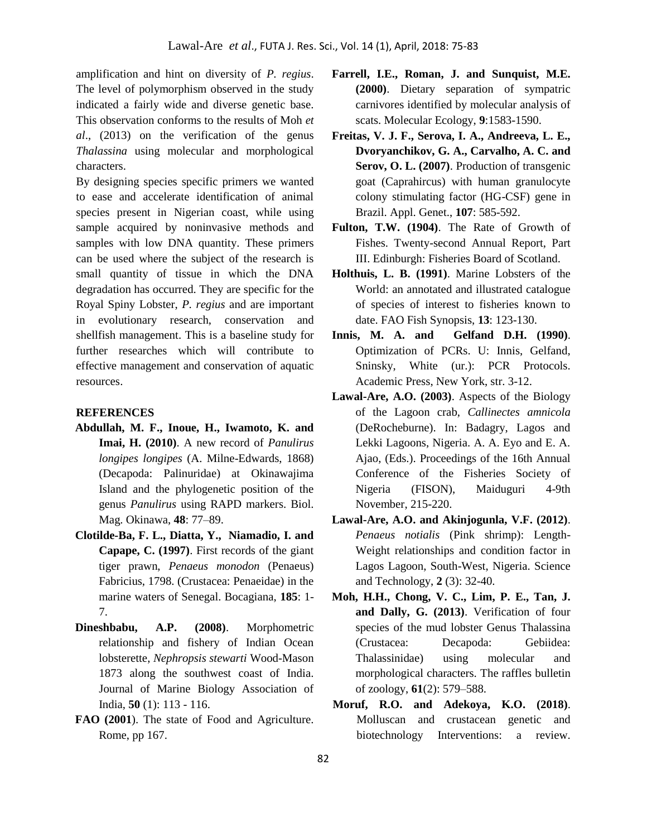amplification and hint on diversity of *P. regius*. The level of polymorphism observed in the study indicated a fairly wide and diverse genetic base. This observation conforms to the results of Moh *et al*., (2013) on the verification of the genus *Thalassina* using molecular and morphological characters.

By designing species specific primers we wanted to ease and accelerate identification of animal species present in Nigerian coast, while using sample acquired by noninvasive methods and samples with low DNA quantity. These primers can be used where the subject of the research is small quantity of tissue in which the DNA degradation has occurred. They are specific for the Royal Spiny Lobster, *P. regius* and are important in evolutionary research, conservation and shellfish management. This is a baseline study for further researches which will contribute to effective management and conservation of aquatic resources.

#### **REFERENCES**

- **Abdullah, M. F., Inoue, H., Iwamoto, K. and Imai, H. (2010)**. A new record of *Panulirus longipes longipes* (A. Milne-Edwards, 1868) (Decapoda: Palinuridae) at Okinawajima Island and the phylogenetic position of the genus *Panulirus* using RAPD markers. Biol. Mag. Okinawa, **48**: 77–89.
- **Clotilde-Ba, F. L., Diatta, Y., Niamadio, I. and Capape, C. (1997)**. First records of the giant tiger prawn, *Penaeus monodon* (Penaeus) Fabricius, 1798. (Crustacea: Penaeidae) in the marine waters of Senegal. Bocagiana, **185**: 1- 7.
- **Dineshbabu, A.P. (2008)**. Morphometric relationship and fishery of Indian Ocean lobsterette, *Nephropsis stewarti* Wood-Mason 1873 along the southwest coast of India. Journal of Marine Biology Association of India, **50** (1): 113 - 116.
- **FAO (2001**). The state of Food and Agriculture. Rome, pp 167.
- **Farrell, I.E., Roman, J. and Sunquist, M.E. (2000)**. Dietary separation of sympatric carnivores identified by molecular analysis of scats. Molecular Ecology, **9**:1583-1590.
- **Freitas, V. J. F., Serova, I. A., Andreeva, L. E., Dvoryanchikov, G. A., Carvalho, A. C. and Serov, O. L. (2007)**. Production of transgenic goat (Caprahircus) with human granulocyte colony stimulating factor (HG-CSF) gene in Brazil. Appl. Genet., **107**: 585-592.
- **Fulton, T.W. (1904)**. The Rate of Growth of Fishes. Twenty-second Annual Report, Part III. Edinburgh: Fisheries Board of Scotland.
- **Holthuis, L. B. (1991)**. Marine Lobsters of the World: an annotated and illustrated catalogue of species of interest to fisheries known to date. FAO Fish Synopsis, **13**: 123-130.
- **Innis, M. A. and Gelfand D.H. (1990)**. Optimization of PCRs. U: Innis, Gelfand, Sninsky, White (ur.): PCR Protocols. Academic Press, New York, str. 3-12.
- **Lawal-Are, A.O. (2003)**. Aspects of the Biology of the Lagoon crab, *Callinectes amnicola*  (DeRocheburne). In: Badagry, Lagos and Lekki Lagoons, Nigeria. A. A. Eyo and E. A. Ajao, (Eds.). Proceedings of the 16th Annual Conference of the Fisheries Society of Nigeria (FISON), Maiduguri 4-9th November, 215-220.
- **Lawal-Are, A.O. and Akinjogunla, V.F. (2012)**. *Penaeus notialis* (Pink shrimp): Length-Weight relationships and condition factor in Lagos Lagoon, South-West, Nigeria. Science and Technology, **2** (3): 32-40.
- **Moh, H.H., Chong, V. C., Lim, P. E., Tan, J. and Dally, G. (2013)**. Verification of four species of the mud lobster Genus Thalassina (Crustacea: Decapoda: Gebiidea: Thalassinidae) using molecular and morphological characters. The raffles bulletin of zoology, **61**(2): 579–588.
- **Moruf, R.O. and Adekoya, K.O. (2018)**. Molluscan and crustacean genetic and biotechnology Interventions: a review.